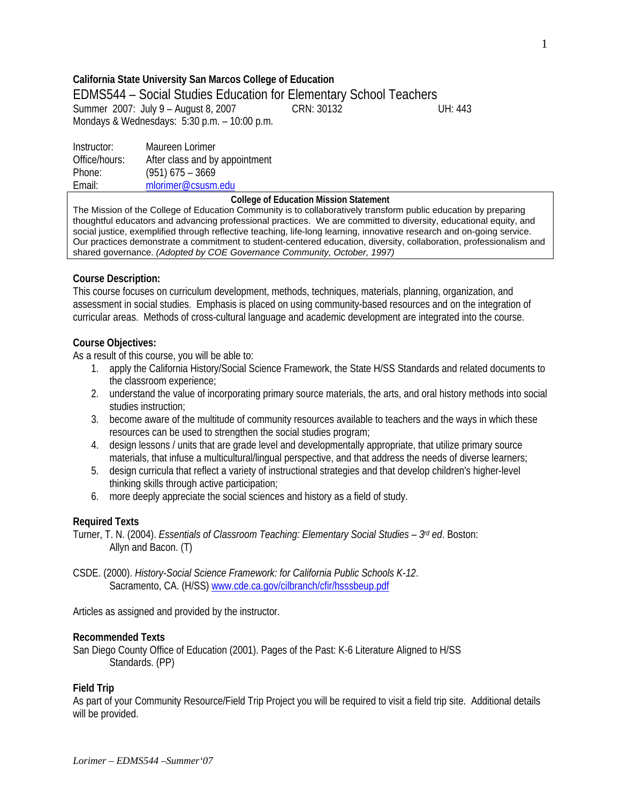# **California State University San Marcos College of Education**

# EDMS544 – Social Studies Education for Elementary School Teachers Summer 2007: July 9 – August 8, 2007 CRN: 30132 UH: 443 Mondays & Wednesdays: 5:30 p.m. – 10:00 p.m.

Instructor: Maureen Lorimer Office/hours: After class and by appointment Phone: (951) 675 – 3669 Email: mlorimer@csusm.edu

#### **College of Education Mission Statement**

The Mission of the College of Education Community is to collaboratively transform public education by preparing thoughtful educators and advancing professional practices. We are committed to diversity, educational equity, and social justice, exemplified through reflective teaching, life-long learning, innovative research and on-going service. Our practices demonstrate a commitment to student-centered education, diversity, collaboration, professionalism and shared governance. *(Adopted by COE Governance Community, October, 1997)*

## **Course Description:**

This course focuses on curriculum development, methods, techniques, materials, planning, organization, and assessment in social studies. Emphasis is placed on using community-based resources and on the integration of curricular areas. Methods of cross-cultural language and academic development are integrated into the course.

## **Course Objectives:**

As a result of this course, you will be able to:

- 1. apply the California History/Social Science Framework, the State H/SS Standards and related documents to the classroom experience;
- 2. understand the value of incorporating primary source materials, the arts, and oral history methods into social studies instruction;
- 3. become aware of the multitude of community resources available to teachers and the ways in which these resources can be used to strengthen the social studies program;
- 4. design lessons / units that are grade level and developmentally appropriate, that utilize primary source materials, that infuse a multicultural/lingual perspective, and that address the needs of diverse learners;
- 5. design curricula that reflect a variety of instructional strategies and that develop children's higher-level thinking skills through active participation;
- 6. more deeply appreciate the social sciences and history as a field of study.

### **Required Texts**

- Turner, T. N. (2004). *Essentials of Classroom Teaching: Elementary Social Studies 3rd ed*. Boston: Allyn and Bacon. (T)
- CSDE. (2000). *History-Social Science Framework: for California Public Schools K-12*. Sacramento, CA. (H/SS) www.cde.ca.gov/cilbranch/cfir/hsssbeup.pdf

Articles as assigned and provided by the instructor.

### **Recommended Texts**

San Diego County Office of Education (2001). Pages of the Past: K-6 Literature Aligned to H/SS Standards. (PP)

### **Field Trip**

As part of your Community Resource/Field Trip Project you will be required to visit a field trip site. Additional details will be provided.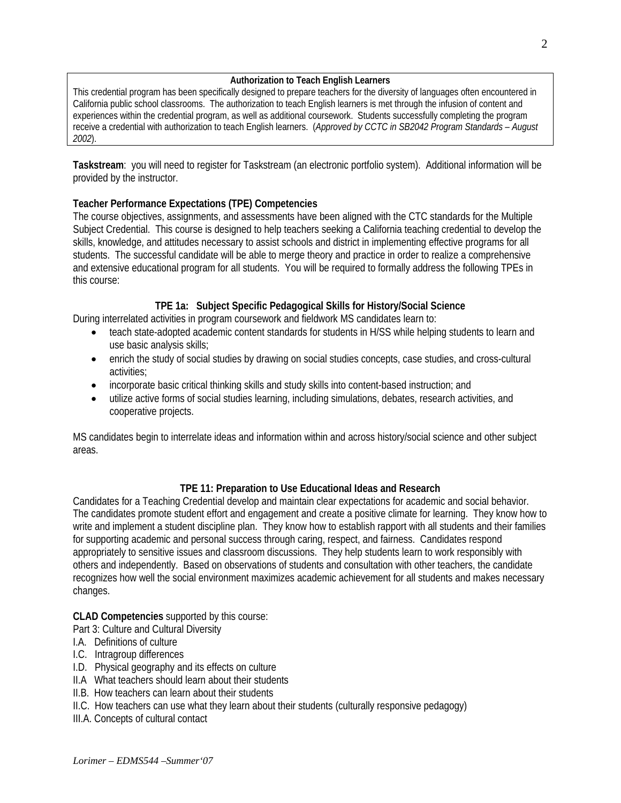# **Authorization to Teach English Learners**

This credential program has been specifically designed to prepare teachers for the diversity of languages often encountered in California public school classrooms. The authorization to teach English learners is met through the infusion of content and experiences within the credential program, as well as additional coursework. Students successfully completing the program receive a credential with authorization to teach English learners. (*Approved by CCTC in SB2042 Program Standards – August 2002*).

**Taskstream**: you will need to register for Taskstream (an electronic portfolio system). Additional information will be provided by the instructor.

# **Teacher Performance Expectations (TPE) Competencies**

The course objectives, assignments, and assessments have been aligned with the CTC standards for the Multiple Subject Credential. This course is designed to help teachers seeking a California teaching credential to develop the skills, knowledge, and attitudes necessary to assist schools and district in implementing effective programs for all students. The successful candidate will be able to merge theory and practice in order to realize a comprehensive and extensive educational program for all students. You will be required to formally address the following TPEs in this course:

# **TPE 1a: Subject Specific Pedagogical Skills for History/Social Science**

During interrelated activities in program coursework and fieldwork MS candidates learn to:

- teach state-adopted academic content standards for students in H/SS while helping students to learn and use basic analysis skills;
- enrich the study of social studies by drawing on social studies concepts, case studies, and cross-cultural activities;
- incorporate basic critical thinking skills and study skills into content-based instruction; and
- utilize active forms of social studies learning, including simulations, debates, research activities, and cooperative projects.

MS candidates begin to interrelate ideas and information within and across history/social science and other subject areas.

# **TPE 11: Preparation to Use Educational Ideas and Research**

Candidates for a Teaching Credential develop and maintain clear expectations for academic and social behavior. The candidates promote student effort and engagement and create a positive climate for learning. They know how to write and implement a student discipline plan. They know how to establish rapport with all students and their families for supporting academic and personal success through caring, respect, and fairness. Candidates respond appropriately to sensitive issues and classroom discussions. They help students learn to work responsibly with others and independently. Based on observations of students and consultation with other teachers, the candidate recognizes how well the social environment maximizes academic achievement for all students and makes necessary changes.

# **CLAD Competencies** supported by this course:

Part 3: Culture and Cultural Diversity

- I.A. Definitions of culture
- I.C. Intragroup differences
- I.D. Physical geography and its effects on culture
- II.A What teachers should learn about their students
- II.B. How teachers can learn about their students
- II.C. How teachers can use what they learn about their students (culturally responsive pedagogy)

III.A. Concepts of cultural contact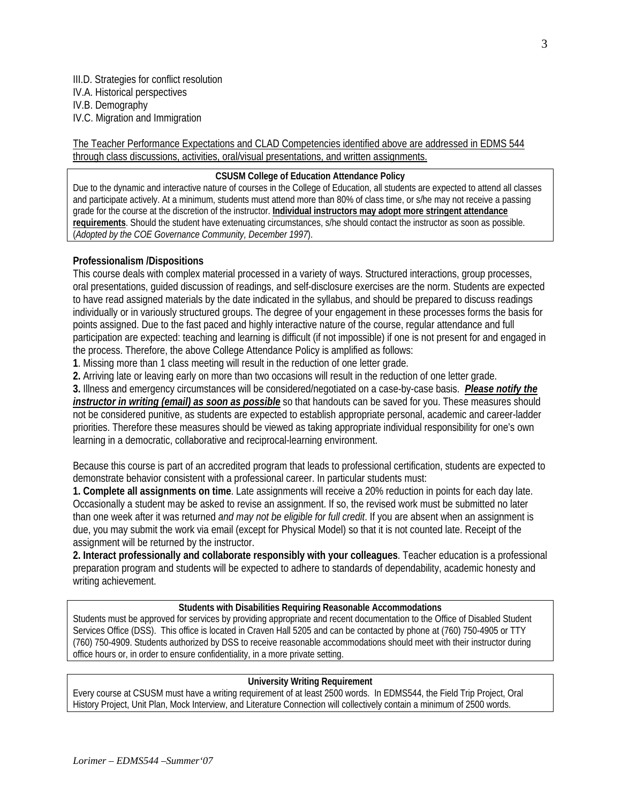III.D. Strategies for conflict resolution IV.A. Historical perspectives IV.B. Demography IV.C. Migration and Immigration

The Teacher Performance Expectations and CLAD Competencies identified above are addressed in EDMS 544 through class discussions, activities, oral/visual presentations, and written assignments.

#### **CSUSM College of Education Attendance Policy**

Due to the dynamic and interactive nature of courses in the College of Education, all students are expected to attend all classes and participate actively. At a minimum, students must attend more than 80% of class time, or s/he may not receive a passing grade for the course at the discretion of the instructor. **Individual instructors may adopt more stringent attendance requirements**. Should the student have extenuating circumstances, s/he should contact the instructor as soon as possible. (*Adopted by the COE Governance Community, December 1997*).

### **Professionalism /Dispositions**

This course deals with complex material processed in a variety of ways. Structured interactions, group processes, oral presentations, guided discussion of readings, and self-disclosure exercises are the norm. Students are expected to have read assigned materials by the date indicated in the syllabus, and should be prepared to discuss readings individually or in variously structured groups. The degree of your engagement in these processes forms the basis for points assigned. Due to the fast paced and highly interactive nature of the course, regular attendance and full participation are expected: teaching and learning is difficult (if not impossible) if one is not present for and engaged in the process. Therefore, the above College Attendance Policy is amplified as follows:

**1**. Missing more than 1 class meeting will result in the reduction of one letter grade.

**2.** Arriving late or leaving early on more than two occasions will result in the reduction of one letter grade.

**3.** Illness and emergency circumstances will be considered/negotiated on a case-by-case basis. *Please notify the instructor in writing (email) as soon as possible* so that handouts can be saved for you. These measures should not be considered punitive, as students are expected to establish appropriate personal, academic and career-ladder priorities. Therefore these measures should be viewed as taking appropriate individual responsibility for one's own learning in a democratic, collaborative and reciprocal-learning environment.

Because this course is part of an accredited program that leads to professional certification, students are expected to demonstrate behavior consistent with a professional career. In particular students must:

**1. Complete all assignments on time**. Late assignments will receive a 20% reduction in points for each day late. Occasionally a student may be asked to revise an assignment. If so, the revised work must be submitted no later than one week after it was returned *and may not be eligible for full credit*. If you are absent when an assignment is due, you may submit the work via email (except for Physical Model) so that it is not counted late. Receipt of the assignment will be returned by the instructor.

**2. Interact professionally and collaborate responsibly with your colleagues**. Teacher education is a professional preparation program and students will be expected to adhere to standards of dependability, academic honesty and writing achievement.

#### **Students with Disabilities Requiring Reasonable Accommodations**

Students must be approved for services by providing appropriate and recent documentation to the Office of Disabled Student Services Office (DSS). This office is located in Craven Hall 5205 and can be contacted by phone at (760) 750-4905 or TTY (760) 750-4909. Students authorized by DSS to receive reasonable accommodations should meet with their instructor during office hours or, in order to ensure confidentiality, in a more private setting.

#### **University Writing Requirement**

Every course at CSUSM must have a writing requirement of at least 2500 words. In EDMS544, the Field Trip Project, Oral History Project, Unit Plan, Mock Interview, and Literature Connection will collectively contain a minimum of 2500 words.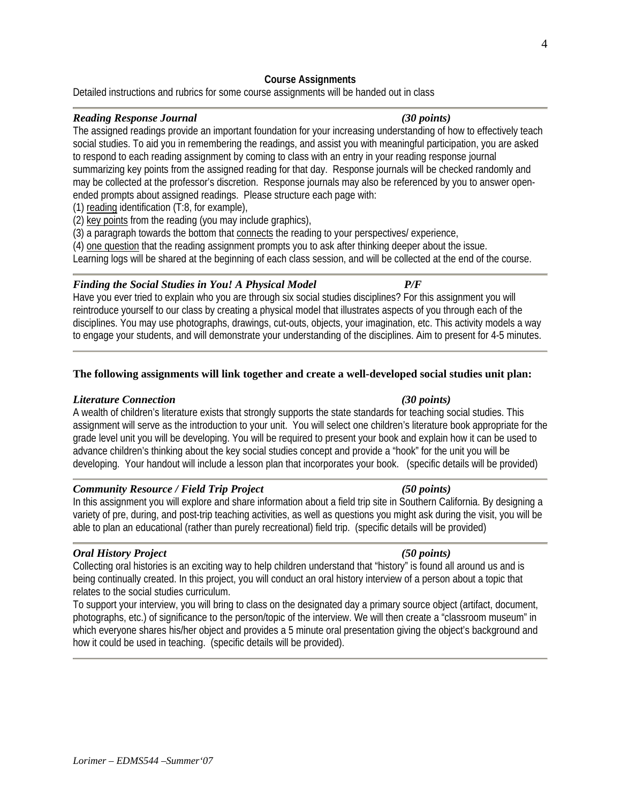## **Course Assignments**

Detailed instructions and rubrics for some course assignments will be handed out in class

## *Reading Response Journal (30 points)*

The assigned readings provide an important foundation for your increasing understanding of how to effectively teach social studies. To aid you in remembering the readings, and assist you with meaningful participation, you are asked to respond to each reading assignment by coming to class with an entry in your reading response journal summarizing key points from the assigned reading for that day. Response journals will be checked randomly and may be collected at the professor's discretion. Response journals may also be referenced by you to answer openended prompts about assigned readings. Please structure each page with:

(1) reading identification (T:8, for example),

(2) key points from the reading (you may include graphics),

(3) a paragraph towards the bottom that connects the reading to your perspectives/ experience,

(4) one question that the reading assignment prompts you to ask after thinking deeper about the issue.

Learning logs will be shared at the beginning of each class session, and will be collected at the end of the course.

## *Finding the Social Studies in You! A Physical Model P/F*

Have you ever tried to explain who you are through six social studies disciplines? For this assignment you will reintroduce yourself to our class by creating a physical model that illustrates aspects of you through each of the disciplines. You may use photographs, drawings, cut-outs, objects, your imagination, etc. This activity models a way to engage your students, and will demonstrate your understanding of the disciplines. Aim to present for 4-5 minutes.

## **The following assignments will link together and create a well-developed social studies unit plan:**

## *Literature Connection (30 points)*

A wealth of children's literature exists that strongly supports the state standards for teaching social studies. This assignment will serve as the introduction to your unit. You will select one children's literature book appropriate for the grade level unit you will be developing. You will be required to present your book and explain how it can be used to advance children's thinking about the key social studies concept and provide a "hook" for the unit you will be developing. Your handout will include a lesson plan that incorporates your book. (specific details will be provided)

## *Community Resource / Field Trip Project (50 points)*

In this assignment you will explore and share information about a field trip site in Southern California. By designing a variety of pre, during, and post-trip teaching activities, as well as questions you might ask during the visit, you will be able to plan an educational (rather than purely recreational) field trip. (specific details will be provided)

## *Oral History Project (50 points)*

Collecting oral histories is an exciting way to help children understand that "history" is found all around us and is being continually created. In this project, you will conduct an oral history interview of a person about a topic that relates to the social studies curriculum.

To support your interview, you will bring to class on the designated day a primary source object (artifact, document, photographs, etc.) of significance to the person/topic of the interview. We will then create a "classroom museum" in which everyone shares his/her object and provides a 5 minute oral presentation giving the object's background and how it could be used in teaching. (specific details will be provided).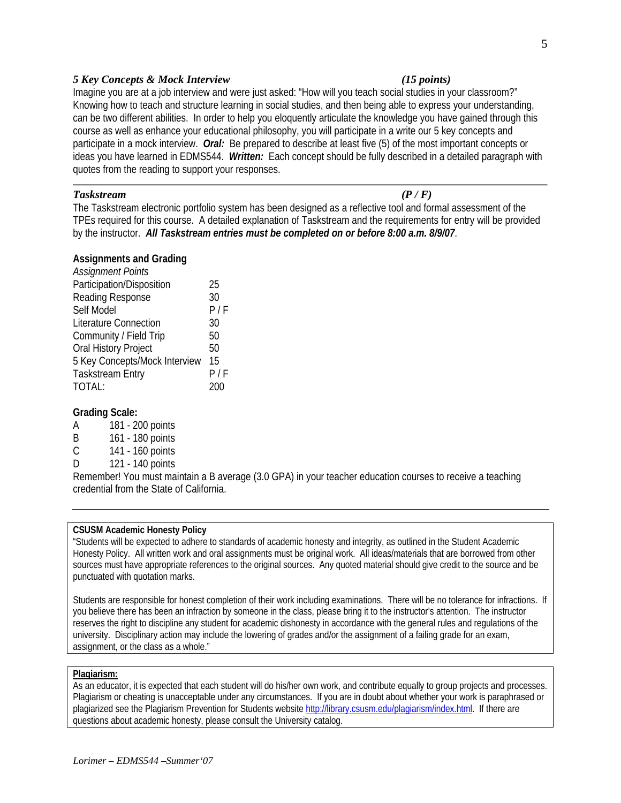## *5 Key Concepts & Mock Interview (15 points)*

Imagine you are at a job interview and were just asked: "How will you teach social studies in your classroom?" Knowing how to teach and structure learning in social studies, and then being able to express your understanding, can be two different abilities. In order to help you eloquently articulate the knowledge you have gained through this course as well as enhance your educational philosophy, you will participate in a write our 5 key concepts and participate in a mock interview. *Oral:* Be prepared to describe at least five (5) of the most important concepts or ideas you have learned in EDMS544. *Written:* Each concept should be fully described in a detailed paragraph with quotes from the reading to support your responses.

### *Taskstream (P / F)*

The Taskstream electronic portfolio system has been designed as a reflective tool and formal assessment of the TPEs required for this course. A detailed explanation of Taskstream and the requirements for entry will be provided by the instructor. *All Taskstream entries must be completed on or before 8:00 a.m. 8/9/07*.

#### **Assignments and Grading**

| <b>Assignment Points</b>      |     |
|-------------------------------|-----|
| Participation/Disposition     | 25  |
| Reading Response              | 30  |
| Self Model                    | P/F |
| <b>Literature Connection</b>  | 30  |
| Community / Field Trip        | 50  |
| Oral History Project          | 50  |
| 5 Key Concepts/Mock Interview | 15  |
| <b>Taskstream Entry</b>       | P/F |
| TOTAL:                        |     |

## **Grading Scale:**

- A 181 200 points
- B 161 180 points
- C 141 160 points
- D 121 140 points

Remember! You must maintain a B average (3.0 GPA) in your teacher education courses to receive a teaching credential from the State of California.

#### **CSUSM Academic Honesty Policy**

"Students will be expected to adhere to standards of academic honesty and integrity, as outlined in the Student Academic Honesty Policy. All written work and oral assignments must be original work. All ideas/materials that are borrowed from other sources must have appropriate references to the original sources. Any quoted material should give credit to the source and be punctuated with quotation marks.

Students are responsible for honest completion of their work including examinations. There will be no tolerance for infractions. If you believe there has been an infraction by someone in the class, please bring it to the instructor's attention. The instructor reserves the right to discipline any student for academic dishonesty in accordance with the general rules and regulations of the university. Disciplinary action may include the lowering of grades and/or the assignment of a failing grade for an exam, assignment, or the class as a whole."

#### **Plagiarism:**

As an educator, it is expected that each student will do his/her own work, and contribute equally to group projects and processes. Plagiarism or cheating is unacceptable under any circumstances. If you are in doubt about whether your work is paraphrased or plagiarized see the Plagiarism Prevention for Students website http://library.csusm.edu/plagiarism/index.html. If there are questions about academic honesty, please consult the University catalog.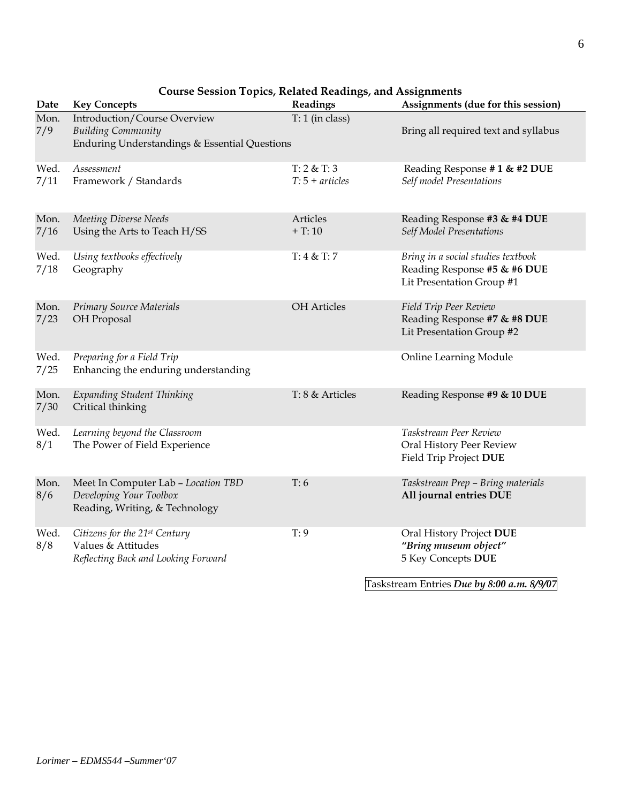| Date         | <b>Key Concepts</b>                                                                                        | Readings                         | Assignments (due for this session)                                                                                    |
|--------------|------------------------------------------------------------------------------------------------------------|----------------------------------|-----------------------------------------------------------------------------------------------------------------------|
| Mon.<br>7/9  | Introduction/Course Overview<br><b>Building Community</b><br>Enduring Understandings & Essential Questions | $T: 1$ (in class)                | Bring all required text and syllabus                                                                                  |
| Wed.<br>7/11 | Assessment<br>Framework / Standards                                                                        | T: 2 & T: 3<br>$T: 5 + articles$ | Reading Response #1 & #2 DUE<br>Self model Presentations                                                              |
| Mon.<br>7/16 | Meeting Diverse Needs<br>Using the Arts to Teach H/SS                                                      | Articles<br>$+T:10$              | Reading Response #3 & #4 DUE<br>Self Model Presentations                                                              |
| Wed.<br>7/18 | Using textbooks effectively<br>Geography                                                                   | T: 4 & T: 7                      | Bring in a social studies textbook<br>Reading Response #5 & #6 DUE<br>Lit Presentation Group #1                       |
| Mon.<br>7/23 | <b>Primary Source Materials</b><br>OH Proposal                                                             | <b>OH</b> Articles               | Field Trip Peer Review<br>Reading Response #7 & #8 DUE<br>Lit Presentation Group #2                                   |
| Wed.<br>7/25 | Preparing for a Field Trip<br>Enhancing the enduring understanding                                         |                                  | Online Learning Module                                                                                                |
| Mon.<br>7/30 | Expanding Student Thinking<br>Critical thinking                                                            | T: 8 & Articles                  | Reading Response #9 & 10 DUE                                                                                          |
| Wed.<br>8/1  | Learning beyond the Classroom<br>The Power of Field Experience                                             |                                  | Taskstream Peer Review<br>Oral History Peer Review<br>Field Trip Project DUE                                          |
| Mon.<br>8/6  | Meet In Computer Lab - Location TBD<br>Developing Your Toolbox<br>Reading, Writing, & Technology           | T:6                              | Taskstream Prep - Bring materials<br>All journal entries DUE                                                          |
| Wed.<br>8/8  | Citizens for the 21st Century<br>Values & Attitudes<br>Reflecting Back and Looking Forward                 | T: 9                             | Oral History Project DUE<br>"Bring museum object"<br>5 Key Concepts DUE<br>Taskstream Entries Due by 8:00 a.m. 8/9/07 |

# **Course Session Topics, Related Readings, and Assignments**